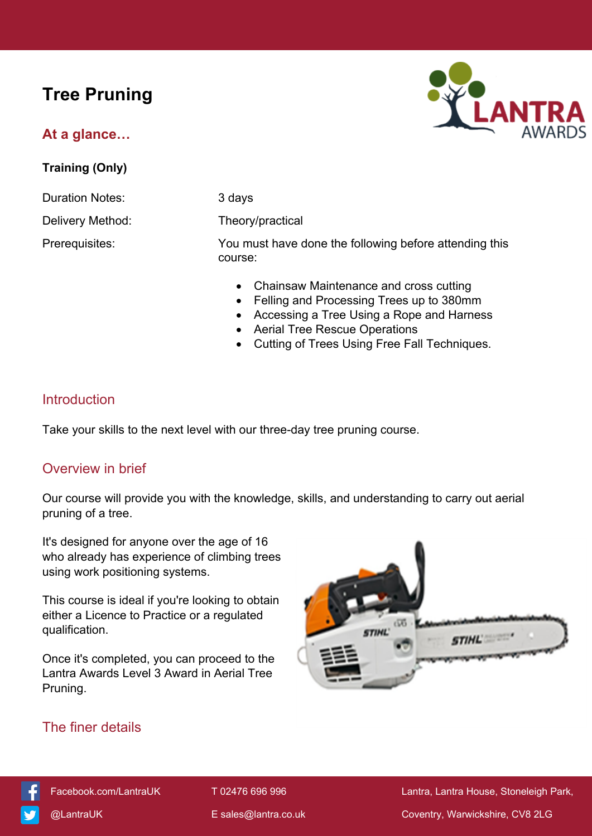# **Tree Pruning**

## **At a glance…**

**Training (Only)**

Duration Notes: 3 days

Delivery Method: Theory/practical

Prerequisites: You must have done the following before attending this



• Chainsaw Maintenance and cross cutting

- Felling and Processing Trees up to 380mm
- Accessing a Tree Using a Rope and Harness
- Aerial Tree Rescue Operations
- Cutting of Trees Using Free Fall Techniques.

## **Introduction**

Take your skills to the next level with our three-day tree pruning course.

course:

#### Overview in brief

Our course will provide you with the knowledge, skills, and understanding to carry out aerial pruning of a tree.

It's designed for anyone over the age of 16 who already has experience of climbing trees using work positioning systems.

This course is ideal if you're looking to obtain either a Licence to Practice or a regulated qualification.

Once it's completed, you can proceed to the Lantra Awards Level 3 Award in Aerial Tree Pruning.



# The finer details

[Facebook.com/LantraUK](https://www.facebook.com/LantraUK/) T 02476 696 996 Lantra, Lantra, Lantra House, Stoneleigh Park, [@LantraUK](http://www.twitter.com/lantrauk) E [sales@lantra.co.uk](mailto:sales@lantra.co.uk) Coventry, Warwickshire, CV8 2LG